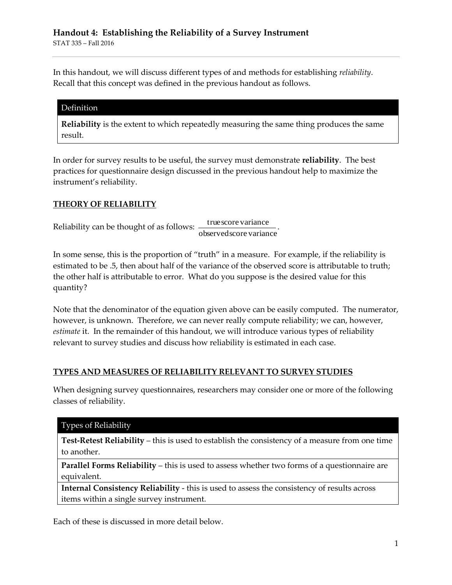In this handout, we will discuss different types of and methods for establishing *reliability*. Recall that this concept was defined in the previous handout as follows.

#### Definition

**Reliability** is the extent to which repeatedly measuring the same thing produces the same result.

In order for survey results to be useful, the survey must demonstrate **reliability**. The best practices for questionnaire design discussed in the previous handout help to maximize the instrument's reliability.

#### **THEORY OF RELIABILITY**

Reliability can be thought of as follows:  $\frac{1}{\text{observed score variance}}$ truescore variance .

In some sense, this is the proportion of "truth" in a measure. For example, if the reliability is estimated to be .5, then about half of the variance of the observed score is attributable to truth; the other half is attributable to error. What do you suppose is the desired value for this quantity?

Note that the denominator of the equation given above can be easily computed. The numerator, however, is unknown. Therefore, we can never really compute reliability; we can, however, *estimate* it. In the remainder of this handout, we will introduce various types of reliability relevant to survey studies and discuss how reliability is estimated in each case.

### **TYPES AND MEASURES OF RELIABILITY RELEVANT TO SURVEY STUDIES**

When designing survey questionnaires, researchers may consider one or more of the following classes of reliability.

#### Types of Reliability

**Test-Retest Reliability** – this is used to establish the consistency of a measure from one time to another.

**Parallel Forms Reliability – this is used to assess whether two forms of a questionnaire are** equivalent.

**Internal Consistency Reliability** - this is used to assess the consistency of results across items within a single survey instrument.

Each of these is discussed in more detail below.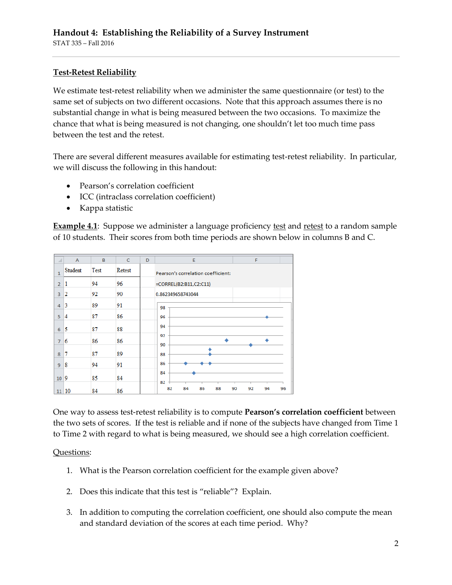## **Test-Retest Reliability**

We estimate test-retest reliability when we administer the same questionnaire (or test) to the same set of subjects on two different occasions. Note that this approach assumes there is no substantial change in what is being measured between the two occasions. To maximize the chance that what is being measured is not changing, one shouldn't let too much time pass between the test and the retest.

There are several different measures available for estimating test-retest reliability. In particular, we will discuss the following in this handout:

- Pearson's correlation coefficient
- ICC (intraclass correlation coefficient)
- Kappa statistic

**Example 4.1**: Suppose we administer a language proficiency **test** and retest to a random sample of 10 students. Their scores from both time periods are shown below in columns B and C.

| ◢              | $\overline{A}$ | B    | $\mathsf{C}$ | D                      | E<br>F                                             |  |  |
|----------------|----------------|------|--------------|------------------------|----------------------------------------------------|--|--|
| $\mathbf{1}$   | Student        | Test | Retest       |                        | Pearson's correlation coefficient:                 |  |  |
| $\overline{2}$ | 1              | 94   | 96           | =CORREL(B2:B11,C2:C11) |                                                    |  |  |
| $\overline{3}$ | 12             | 92   | 90           |                        | 0.862349658743044                                  |  |  |
| $\overline{4}$ | 3              | 89   | 91           |                        | 98                                                 |  |  |
| 5              | 14             | 87   | 86           |                        | 96                                                 |  |  |
| 6              | 15             | 87   | 88           |                        | 94                                                 |  |  |
| $\overline{7}$ | 6              | 86   | 86           |                        | 92<br>90                                           |  |  |
| 8              | 7              | 87   | 89           |                        | 88                                                 |  |  |
| 9              | 8              | 94   | 91           |                        | 86                                                 |  |  |
| $10\vert 9$    |                | 85   | 84           |                        | 84                                                 |  |  |
|                | 11 10          | 84   | 86           |                        | 82<br>84<br>86<br>88<br>90<br>92<br>94<br>82<br>96 |  |  |

One way to assess test-retest reliability is to compute **Pearson's correlation coefficient** between the two sets of scores. If the test is reliable and if none of the subjects have changed from Time 1 to Time 2 with regard to what is being measured, we should see a high correlation coefficient.

### Questions:

- 1. What is the Pearson correlation coefficient for the example given above?
- 2. Does this indicate that this test is "reliable"? Explain.
- 3. In addition to computing the correlation coefficient, one should also compute the mean and standard deviation of the scores at each time period. Why?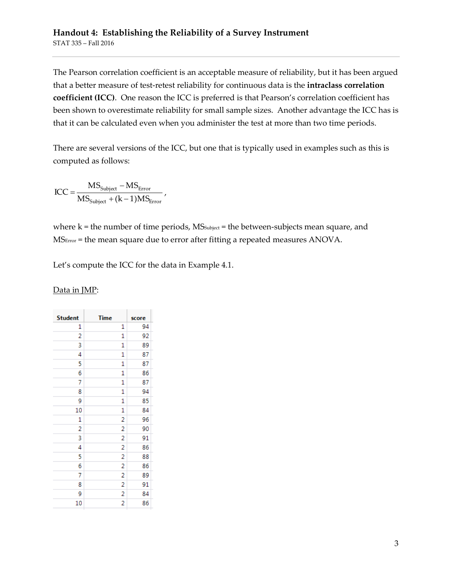The Pearson correlation coefficient is an acceptable measure of reliability, but it has been argued that a better measure of test-retest reliability for continuous data is the **intraclass correlation coefficient (ICC)**. One reason the ICC is preferred is that Pearson's correlation coefficient has been shown to overestimate reliability for small sample sizes. Another advantage the ICC has is that it can be calculated even when you administer the test at more than two time periods.

There are several versions of the ICC, but one that is typically used in examples such as this is computed as follows:

$$
ICC = \frac{MS_{\text{Subject}} - MS_{\text{Error}}}{MS_{\text{Subject}} + (k-1)MS_{\text{Error}}}
$$

where  $k =$  the number of time periods,  $MS_{subject} =$  the between-subjects mean square, and MSError = the mean square due to error after fitting a repeated measures ANOVA.

Let's compute the ICC for the data in Example 4.1.

| <b>Student</b> | <b>Time</b> |
|----------------|-------------|
| 1              |             |
| 2              |             |
| 3              |             |
|                |             |

Data in JMP:

| <b>Student</b> | <b>Time</b>    | score |
|----------------|----------------|-------|
| 1              | 1              | 94    |
| 2              | 1              | 92    |
| 3              | 1              | 89    |
| 4              | 1              | 87    |
| 5              | 1              | 87    |
| 6              | 1              | 86    |
| 7              | 1              | 87    |
| 8              | 1              | 94    |
| 9              | 1              | 85    |
| 10             | 1              | 84    |
| 1              | 2              | 96    |
| $\overline{a}$ | $\overline{c}$ | 90    |
| 3              | $\overline{c}$ | 91    |
| 4              | 2              | 86    |
| 5              | $\overline{c}$ | 88    |
| 6              | $\overline{a}$ | 86    |
| 7              | 2              | 89    |
| 8              | 2              | 91    |
| 9              | $\overline{c}$ | 84    |
| 10             | 2              | 86    |
|                |                |       |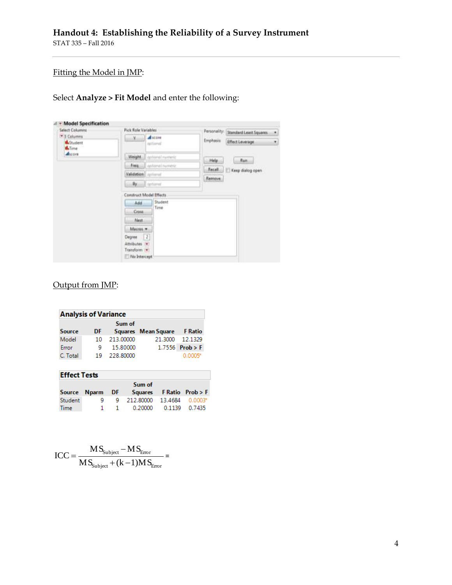# Fitting the Model in JMP:

Select **Analyze > Fit Model** and enter the following:

| <b>Select Columns</b>                     | <b>Pick Role Variables</b>                                             |               | Personality: Standard Least Squares |  |
|-------------------------------------------|------------------------------------------------------------------------|---------------|-------------------------------------|--|
| * 3 Columns<br><b>B</b> Student<br>d.Time | dicore<br>V.<br>nattional                                              | Emphasis:     | <b>Effect Leverage</b>              |  |
| ducore                                    | Weight.<br>aptional numeric                                            | Help          | <b>Run</b>                          |  |
|                                           | aptional humens:<br>Freq.                                              | <b>Hecall</b> |                                     |  |
|                                           | Validation gillared                                                    | Remove        | Keep dialog open                    |  |
|                                           | By<br><i>certioned</i>                                                 |               |                                     |  |
|                                           | Construct Model Effects                                                |               |                                     |  |
|                                           | Student<br>Add                                                         |               |                                     |  |
|                                           | Time<br>Cross                                                          |               |                                     |  |
|                                           | Nest.                                                                  |               |                                     |  |
|                                           | Macros -                                                               |               |                                     |  |
|                                           | $\boxed{2}$<br>Degree<br>Attributes (*)<br>Transform =<br>No Intercept |               |                                     |  |

# Output from JMP:

| <b>Analysis of Variance</b> |     |           |                     |                   |  |
|-----------------------------|-----|-----------|---------------------|-------------------|--|
|                             |     | Sum of    |                     |                   |  |
| <b>Source</b>               | DF. |           | Squares Mean Square | <b>F</b> Ratio    |  |
| Model                       | 10  | 213.00000 | 21.3000             | 12.1329           |  |
| Error                       | 9   | 15.80000  |                     | $1.7556$ Prob > F |  |
| C. Total                    | 19  | 228.80000 |                     | 0.0005*           |  |

| <b>Effect Tests</b> |   |    |                                         |                       |  |
|---------------------|---|----|-----------------------------------------|-----------------------|--|
|                     |   |    | Sum of                                  |                       |  |
|                     |   |    | Source Nparm DF Squares FRatio Prob > F |                       |  |
| Student             | ۹ |    | 9 212.80000 13.4684 0.0003*             |                       |  |
| <b>Time</b>         |   | 1. |                                         | 0.20000 0.1139 0.7435 |  |

$$
ICC = \frac{MS_{\text{Subject}} - MS_{\text{Error}}}{MS_{\text{Subject}} + (k-1)MS_{\text{Error}}} =
$$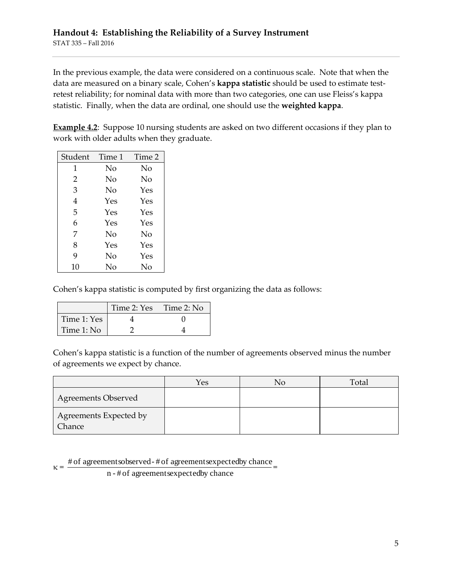In the previous example, the data were considered on a continuous scale. Note that when the data are measured on a binary scale, Cohen's **kappa statistic** should be used to estimate testretest reliability; for nominal data with more than two categories, one can use Fleiss's kappa statistic. Finally, when the data are ordinal, one should use the **weighted kappa**.

**Example 4.2**: Suppose 10 nursing students are asked on two different occasions if they plan to work with older adults when they graduate.

| Student        | Time 1 | Time 2 |
|----------------|--------|--------|
| 1              | No     | No     |
| $\overline{2}$ | Nο     | Nο     |
| 3              | No     | Yes    |
| 4              | Yes    | Yes    |
| 5              | Yes    | Yes    |
| 6              | Yes    | Yes    |
| 7              | No     | No     |
| 8              | Yes    | Yes    |
| 9              | No     | Yes    |
| 10             | No     | No     |

Cohen's kappa statistic is computed by first organizing the data as follows:

|             | Time 2: Yes | Time 2: No |
|-------------|-------------|------------|
| Time 1: Yes |             |            |
| Time 1: No  |             |            |

Cohen's kappa statistic is a function of the number of agreements observed minus the number of agreements we expect by chance.

|                                  | Yes | No | Total |
|----------------------------------|-----|----|-------|
| <b>Agreements Observed</b>       |     |    |       |
| Agreements Expected by<br>Chance |     |    |       |

 $\kappa =$ # of agreementsobserved- # of agreementsexpectedby chance =

n - # of agreementsexpectedby chance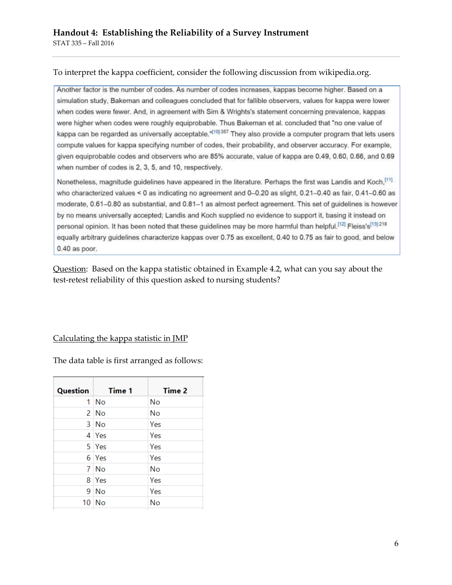#### To interpret the kappa coefficient, consider the following discussion from wikipedia.org.

Another factor is the number of codes. As number of codes increases, kappas become higher. Based on a simulation study, Bakeman and colleagues concluded that for fallible observers, values for kappa were lower when codes were fewer. And, in agreement with Sim & Wrights's statement concerning prevalence, kappas were higher when codes were roughly equiprobable. Thus Bakeman et al. concluded that "no one value of kappa can be regarded as universally acceptable."<sup>[10]:357</sup> They also provide a computer program that lets users compute values for kappa specifying number of codes, their probability, and observer accuracy. For example, given equiprobable codes and observers who are 85% accurate, value of kappa are 0.49, 0.60, 0.66, and 0.69 when number of codes is 2, 3, 5, and 10, respectively.

Nonetheless, magnitude guidelines have appeared in the literature. Perhaps the first was Landis and Koch,[11] who characterized values < 0 as indicating no agreement and 0-0.20 as slight, 0.21-0.40 as fair, 0.41-0.60 as moderate, 0.61-0.80 as substantial, and 0.81-1 as almost perfect agreement. This set of guidelines is however by no means universally accepted; Landis and Koch supplied no evidence to support it, basing it instead on personal opinion. It has been noted that these guidelines may be more harmful than helpful.<sup>[12]</sup> Fleiss's<sup>[13]218</sup> equally arbitrary guidelines characterize kappas over 0.75 as excellent, 0.40 to 0.75 as fair to good, and below 0.40 as poor.

Question: Based on the kappa statistic obtained in Example 4.2, what can you say about the test-retest reliability of this question asked to nursing students?

#### Calculating the kappa statistic in JMP

The data table is first arranged as follows:

| Question | Time 1     | Time 2 |
|----------|------------|--------|
| 1        | No         | No     |
|          | $2$ No     | No     |
|          | 3 No       | Yes    |
|          | 4 Yes      | Yes    |
|          | 5 Yes      | Yes    |
|          | 6 Yes      | Yes    |
| 7        | <b>No</b>  | No     |
| 8        | <b>Yes</b> | Yes    |
| 9        | - No       | Yes    |
| 10       | - No       | No     |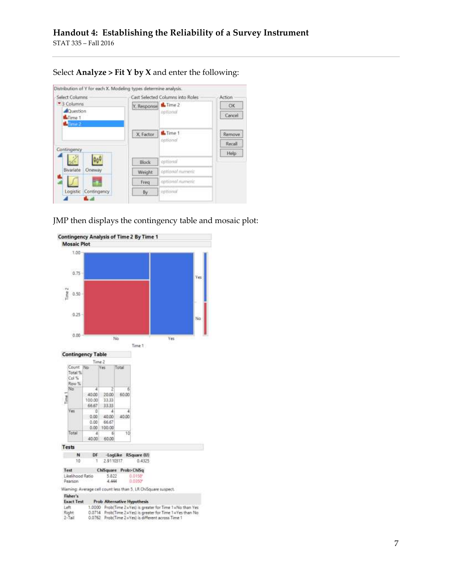Select **Analyze > Fit Y by X** and enter the following:

| <b>Select Columns</b>               |                        | Cast Selected Columns into Roles |                  |  |
|-------------------------------------|------------------------|----------------------------------|------------------|--|
| * 3 Columns<br>Question<br>LaTime 1 | Y, Response the Time 2 | ophonat                          | ОК<br>Cancel     |  |
| stime 2                             | X. Factor              | <b>IL</b> Time 1<br>periodio     | Remove<br>Recall |  |
| Contingency                         |                        |                                  | Help             |  |
|                                     | Block                  | optional                         |                  |  |
| Bevariate<br>Oneway                 | Weight                 | optional numeric                 |                  |  |
|                                     | Freq                   | apticinal numeric                |                  |  |
| Logistic Contingency                | By                     | optional                         |                  |  |

JMP then displays the contingency table and mosaic plot:

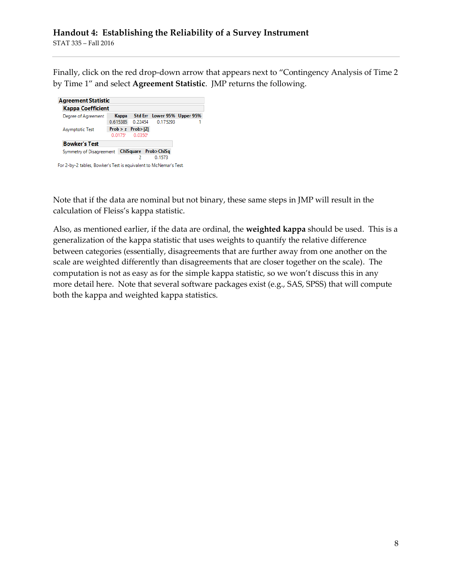Finally, click on the red drop-down arrow that appears next to "Contingency Analysis of Time 2 by Time 1" and select **Agreement Statistic**. JMP returns the following.

| Kappa Coefficient                             |                         |                                   |  |
|-----------------------------------------------|-------------------------|-----------------------------------|--|
| Degree of Agreement                           |                         | Kappa Std Err Lower 95% Upper 95% |  |
|                                               | 0.615385 0.22454        | 0.175293                          |  |
| Asymptotic Test                               | $Prob > z$ $Prob >  Z $ |                                   |  |
|                                               | $0.0175*0.0350*$        |                                   |  |
| <b>Bowker's Test</b>                          |                         |                                   |  |
| Symmetry of Disagreement ChiSquare Prob>ChiSq |                         |                                   |  |
|                                               | 2                       | 0.1573                            |  |

Note that if the data are nominal but not binary, these same steps in JMP will result in the calculation of Fleiss's kappa statistic.

Also, as mentioned earlier, if the data are ordinal, the **weighted kappa** should be used. This is a generalization of the kappa statistic that uses weights to quantify the relative difference between categories (essentially, disagreements that are further away from one another on the scale are weighted differently than disagreements that are closer together on the scale). The computation is not as easy as for the simple kappa statistic, so we won't discuss this in any more detail here. Note that several software packages exist (e.g., SAS, SPSS) that will compute both the kappa and weighted kappa statistics.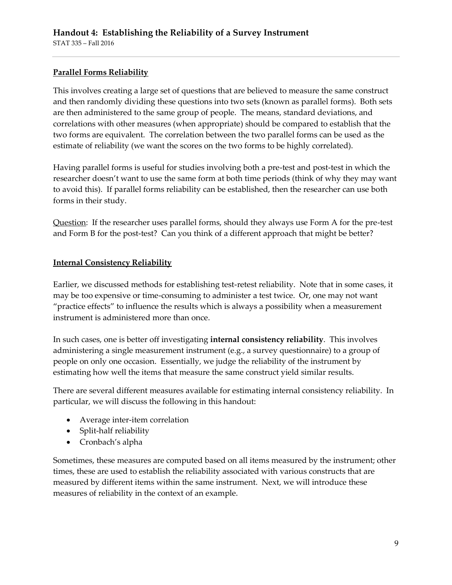## **Parallel Forms Reliability**

This involves creating a large set of questions that are believed to measure the same construct and then randomly dividing these questions into two sets (known as parallel forms). Both sets are then administered to the same group of people. The means, standard deviations, and correlations with other measures (when appropriate) should be compared to establish that the two forms are equivalent. The correlation between the two parallel forms can be used as the estimate of reliability (we want the scores on the two forms to be highly correlated).

Having parallel forms is useful for studies involving both a pre-test and post-test in which the researcher doesn't want to use the same form at both time periods (think of why they may want to avoid this). If parallel forms reliability can be established, then the researcher can use both forms in their study.

Question: If the researcher uses parallel forms, should they always use Form A for the pre-test and Form B for the post-test? Can you think of a different approach that might be better?

## **Internal Consistency Reliability**

Earlier, we discussed methods for establishing test-retest reliability. Note that in some cases, it may be too expensive or time-consuming to administer a test twice. Or, one may not want "practice effects" to influence the results which is always a possibility when a measurement instrument is administered more than once.

In such cases, one is better off investigating **internal consistency reliability**. This involves administering a single measurement instrument (e.g., a survey questionnaire) to a group of people on only one occasion. Essentially, we judge the reliability of the instrument by estimating how well the items that measure the same construct yield similar results.

There are several different measures available for estimating internal consistency reliability. In particular, we will discuss the following in this handout:

- Average inter-item correlation
- Split-half reliability
- Cronbach's alpha

Sometimes, these measures are computed based on all items measured by the instrument; other times, these are used to establish the reliability associated with various constructs that are measured by different items within the same instrument. Next, we will introduce these measures of reliability in the context of an example.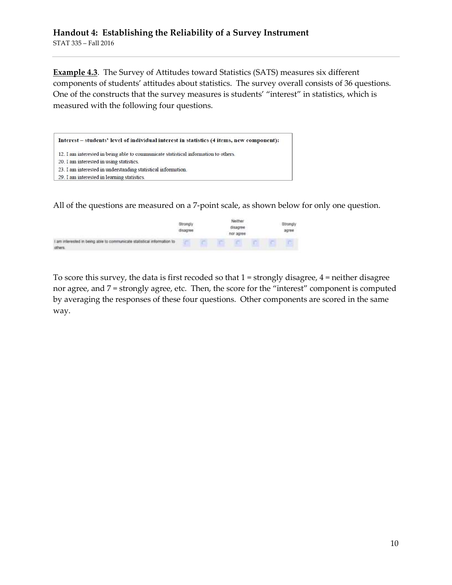**Example 4.3**. The Survey of Attitudes toward Statistics (SATS) measures six different components of students' attitudes about statistics. The survey overall consists of 36 questions. One of the constructs that the survey measures is students' "interest" in statistics, which is measured with the following four questions.



All of the questions are measured on a 7-point scale, as shown below for only one question.

|                                                                                                                                                                                                               | stronah |  | har agree- |  |  |
|---------------------------------------------------------------------------------------------------------------------------------------------------------------------------------------------------------------|---------|--|------------|--|--|
| I am interested in being able to communicate statistical information to<br>- The second control of the second control of the second control of the second control of the second control of<br><b>CITY/MYS</b> |         |  |            |  |  |

To score this survey, the data is first recoded so that 1 = strongly disagree, 4 = neither disagree nor agree, and 7 = strongly agree, etc. Then, the score for the "interest" component is computed by averaging the responses of these four questions. Other components are scored in the same way.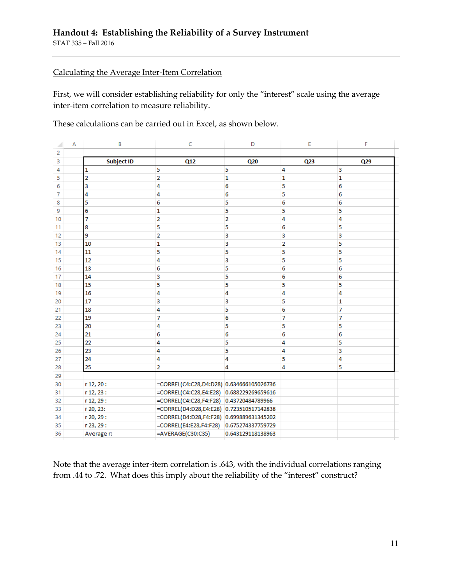#### Calculating the Average Inter-Item Correlation

First, we will consider establishing reliability for only the "interest" scale using the average inter-item correlation to measure reliability.

These calculations can be carried out in Excel, as shown below.

| ◢  | Α | B                 | C                                        | D                 | E   | F   |
|----|---|-------------------|------------------------------------------|-------------------|-----|-----|
| 2  |   |                   |                                          |                   |     |     |
| 3  |   | <b>Subject ID</b> | Q12                                      | Q20               | Q23 | Q29 |
| 4  |   | 1                 | 5                                        | 5                 | 4   | 3   |
| 5  |   | 2                 | 2                                        | 1                 | 1   | 1   |
| 6  |   | 3                 | 4                                        | 6                 | 5   | 6   |
| 7  |   | 4                 | 4                                        | 6                 | 5   | 6   |
| 8  |   | 5                 | 6                                        | 5                 | 6   | 6   |
| 9  |   | 6                 | 1                                        | 5                 | 5   | 5   |
| 10 |   | 7                 | 2                                        | 2                 | 4   | 4   |
| 11 |   | 8                 | 5                                        | 5                 | 6   | 5   |
| 12 |   | 9                 | 2                                        | 3                 | 3   | 3   |
| 13 |   | 10                | 1                                        | 3                 | 2   | 5   |
| 14 |   | 11                | 5                                        | 5                 | 5   | 5   |
| 15 |   | 12                | 4                                        | 3                 | 5   | 5   |
| 16 |   | 13                | 6                                        | 5                 | 6   | 6   |
| 17 |   | 14                | 3                                        | 5                 | 6   | 6   |
| 18 |   | 15                | 5                                        | 5                 | 5   | 5   |
| 19 |   | 16                | 4                                        | 4                 | 4   | 4   |
| 20 |   | 17                | 3                                        | 3                 | 5   | 1   |
| 21 |   | 18                | 4                                        | 5                 | 6   | 7   |
| 22 |   | 19                | 7                                        | 6                 | 7   | 7   |
| 23 |   | 20                | 4                                        | 5                 | 5   | 5   |
| 24 |   | 21                | 6                                        | 6                 | 6   | 6   |
| 25 |   | 22                | 4                                        | 5                 | 4   | 5   |
| 26 |   | 23                | 4                                        | 5                 | 4   | 3   |
| 27 |   | 24                | 4                                        | 4                 | 5   | 4   |
| 28 |   | 25                | 2                                        | 4                 | 4   | 5   |
| 29 |   |                   |                                          |                   |     |     |
| 30 |   | r 12, 20 :        | =CORREL(C4:C28,D4:D28) 0.634666105026736 |                   |     |     |
| 31 |   | r 12, 23 :        | =CORREL(C4:C28,E4:E28)                   | 0.688229269659616 |     |     |
| 32 |   | r 12, 29 :        | =CORREL(C4:C28,F4:F28) 0.43720484789966  |                   |     |     |
| 33 |   | r 20, 23:         | =CORREL(D4:D28,E4:E28) 0.723510517142838 |                   |     |     |
| 34 |   | r 20, 29 :        | =CORREL(D4:D28,F4:F28) 0.699889631345202 |                   |     |     |
| 35 |   | r 23, 29 :        | =CORREL(E4:E28,F4:F28)                   | 0.675274337759729 |     |     |
| 36 |   | Average r:        | =AVERAGE(C30:C35)                        | 0.643129118138963 |     |     |

Note that the average inter-item correlation is .643, with the individual correlations ranging from .44 to .72. What does this imply about the reliability of the "interest" construct?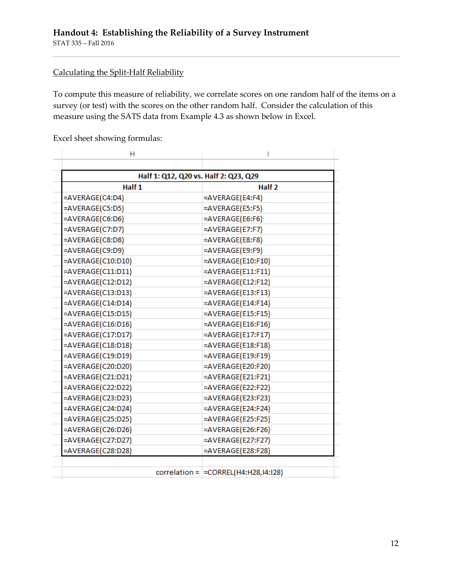### Calculating the Split-Half Reliability

To compute this measure of reliability, we correlate scores on one random half of the items on a survey (or test) with the scores on the other random half. Consider the calculation of this measure using the SATS data from Example 4.3 as shown below in Excel.

Excel sheet showing formulas:

| н                    |                                         |
|----------------------|-----------------------------------------|
|                      | Half 1: Q12, Q20 vs. Half 2: Q23, Q29   |
| Half 1               | Half <sub>2</sub>                       |
| =AVERAGE(C4:D4)      | =AVERAGE(E4:F4)                         |
| =AVERAGE(C5:D5)      | =AVERAGE(E5:F5)                         |
| =AVERAGE(C6:D6)      | =AVERAGE(E6:F6)                         |
| =AVERAGE(C7:D7)      | $=$ AVERAGE(E7:F7)                      |
| =AVERAGE(C8:D8)      | =AVERAGE(E8:F8)                         |
| =AVERAGE(C9:D9)      | =AVERAGE(E9:F9)                         |
| =AVERAGE(C10:D10)    | $=$ AVERAGE(E10:F10)                    |
| =AVERAGE(C11:D11)    | =AVERAGE(E11:F11)                       |
| =AVERAGE(C12:D12)    | $=$ AVERAGE(E12:F12)                    |
| =AVERAGE(C13:D13)    | =AVERAGE(E13:F13)                       |
| =AVERAGE(C14:D14)    | $=$ AVERAGE(E14:F14)                    |
| =AVERAGE(C15:D15)    | $=$ AVERAGE(E15:F15)                    |
| =AVERAGE(C16:D16)    | =AVERAGE(E16:F16)                       |
| $=$ AVERAGE(C17:D17) | $=$ AVERAGE(E17:F17)                    |
| =AVERAGE(C18:D18)    | =AVERAGE(E18:F18)                       |
| =AVERAGE(C19:D19)    | $=$ AVERAGE(E19:F19)                    |
| =AVERAGE(C20:D20)    | =AVERAGE(E20:F20)                       |
| =AVERAGE(C21:D21)    | $=$ AVERAGE(E21:F21)                    |
| =AVERAGE(C22:D22)    | =AVERAGE(E22:F22)                       |
| =AVERAGE(C23:D23)    | =AVERAGE(E23:F23)                       |
| =AVERAGE(C24:D24)    | $=$ AVERAGE(E24:F24)                    |
| =AVERAGE(C25:D25)    | =AVERAGE(E25:F25)                       |
| =AVERAGE(C26:D26)    | =AVERAGE(E26:F26)                       |
| =AVERAGE(C27:D27)    | $=$ AVERAGE(E27:F27)                    |
| =AVERAGE(C28:D28)    | =AVERAGE(E28:F28)                       |
|                      |                                         |
|                      | $correlation =  =CORREL(H4:H28,14:128)$ |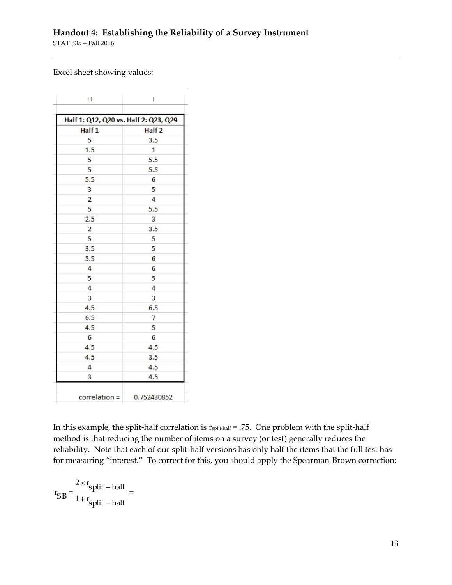#### Excel sheet showing values:

| н                                     | I                 |
|---------------------------------------|-------------------|
|                                       |                   |
| Half 1: Q12, Q20 vs. Half 2: Q23, Q29 |                   |
| Half 1                                | Half <sub>2</sub> |
| 5                                     | 3.5               |
| 1.5                                   | 1                 |
| 5                                     | 5.5               |
| 5                                     | 5.5               |
| 5.5                                   | 6                 |
| 3                                     | 5                 |
| $\overline{\mathbf{2}}$               | 4                 |
| 5                                     | 5.5               |
| 2.5                                   | 3                 |
| 2                                     | 3.5               |
| 5                                     | 5                 |
| 3.5                                   | 5                 |
| 5.5                                   | 6                 |
| 4                                     | 6                 |
| 5                                     | 5                 |
| 4                                     | 4                 |
| 3                                     | 3                 |
| 4.5                                   | 6.5               |
| 6.5                                   | 7                 |
| 4.5                                   | 5                 |
| 6                                     | 6                 |
| 4.5                                   | 4.5               |
| 4.5                                   | 3.5               |
| 4                                     | 4.5               |
| 3                                     | 4.5               |
| correlation =                         | 0.752430852       |
|                                       |                   |

In this example, the split-half correlation is  $r_{split\text{-half}} = .75$ . One problem with the split-half method is that reducing the number of items on a survey (or test) generally reduces the reliability. Note that each of our split-half versions has only half the items that the full test has for measuring "interest." To correct for this, you should apply the Spearman-Brown correction:

$$
r_{SB} = \frac{2 \times r_{split - half}}{1 + r_{split - half}} =
$$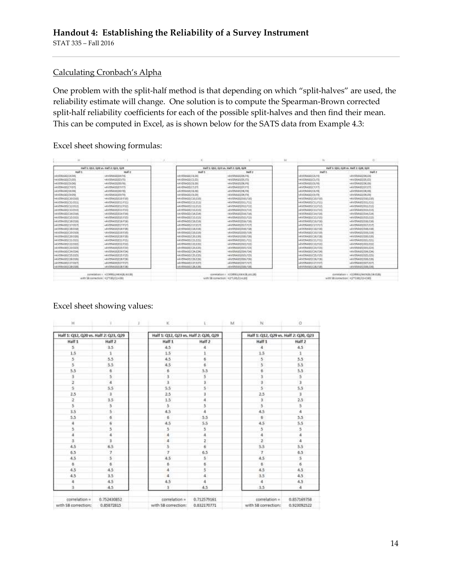#### Calculating Cronbach's Alpha

One problem with the split-half method is that depending on which "split-halves" are used, the reliability estimate will change. One solution is to compute the Spearman-Brown corrected split-half reliability coefficients for each of the possible split-halves and then find their mean. This can be computed in Excel, as is shown below for the SATS data from Example 4.3:

Excel sheet showing formulas:

|                       |                                                                                              |                                       |                                                                                                             | M. |                                       | o.                                                                          |  |
|-----------------------|----------------------------------------------------------------------------------------------|---------------------------------------|-------------------------------------------------------------------------------------------------------------|----|---------------------------------------|-----------------------------------------------------------------------------|--|
|                       | Half 1: 012. 039 ys. Half 2: 023. 039                                                        | Half to G12, G21 vs. Half 2, G21, G29 |                                                                                                             |    | Half 1: 013, 029 yr. Half 3: 020, 024 |                                                                             |  |
| <b>Nat1</b>           | <b>HATLE</b>                                                                                 | <b>HART 1</b>                         | <b>MAT 2</b>                                                                                                |    | mult t                                | Nail 2                                                                      |  |
| IIAVERASEXZATM        | <b>INVERNABILIERS</b>                                                                        | WYERAWELS.id                          | INVERNOSI DE FA                                                                                             |    | IAVERAGE(CAPID)                       | white Agril DLES                                                            |  |
| HAVERAGENCSUSE        | HAVENAGELESSES                                                                               | ANVERAGE(S.EL)                        | HAVERAGELDS.RS                                                                                              |    | HAVERAGE(CSJS)                        | HAVERAGELDS \$50                                                            |  |
| HAVERAGES/26:06E      | -AVDIAGEDOUG                                                                                 | ANYTHAD ELECTRIC                      | HAVENAGELER, FOL                                                                                            |    | HAVERAGESOS/FB)                       | +AVERAGED6.EN                                                               |  |
| HAVENABEICTER         | sAVENAGELE 5971                                                                              | AFFINATECZET                          | 422154050741                                                                                                |    | HAVENAGE(C7.7.7)                      | <b>HAVENABEDCER</b>                                                         |  |
| <b>GAVIRAGE/CRISS</b> | -AVENASSIERES                                                                                | -AVERAGELLIST                         | ANVERAGELISE FAL                                                                                            |    | <b>UMBEDIETER</b>                     | -AVERAGEEEM, EN                                                             |  |
| HAVCRAILE(CIHD)       | INVENIGATIONS                                                                                | INYERAGGICRER.                        | INVERAGE DE FIE                                                                                             |    | MARAGED FB                            | INVERAGED EXER                                                              |  |
| HAVGRAGE(CJ/2010)     | <b>SAYDIAGGEESETED</b>                                                                       | NAVERAGE CIO ETC.                     | HAVERAGELE/2007-200                                                                                         |    | HAVERAGE(C18,F18)                     | HAVERAGE DJOULES                                                            |  |
| HAVERAGEICT2-DE11     | <b>AYDMONED FID</b>                                                                          | NYEMARICSLELI                         | WHIMAGOOL/TIL                                                                                               |    | HAVERAGESCT L. P.LIS                  | HAVERAGES DOLLES LI                                                         |  |
| NAVERAZINCI2/DGZS     | ANDMORPHENES                                                                                 | WEBASSIZED                            | HAVERAGE(DILPIZ)                                                                                            |    | HAVENAURSCLE.F125                     | «AVERAGELDIZ/E12)                                                           |  |
| (4VOLER)(13 FOI)      | -AVENAGELE ELECT                                                                             | <b>AVERAGETELLEH</b>                  | shirt@Add1D33.F1II                                                                                          |    | 40000000013.FLE                       | <b>AYERABUTELESS</b>                                                        |  |
| HANERAGEIC18 DOM      | WITHWITTELLF18                                                                               | MYBMGDCM.ENI                          | (ADDRAGGED) 6,5 SAL                                                                                         |    | NASRAGECIATE                          | (WIENAGE DUCES)                                                             |  |
| HAVERAGE(C15:D05)     | -WYDNAGELEJSTES                                                                              | ANYTHAGGLOSEST                        | <wweimgeld15.715f< td=""><td></td><td>HAVERAGE(CIS.FIS)</td><td>«AVERAGED BESITES!</td></wweimgeld15.715f<> |    | HAVERAGE(CIS.FIS)                     | «AVERAGED BESITES!                                                          |  |
| HAVERAGE(C18:D05)     | «AVERAGEVELR-F18)                                                                            | <b>WEBMOTICIATIN</b>                  | WATERWORD DOG: 7:35                                                                                         |    | -AVERAGE(CIA.FIE)                     | <b>WAYNAGED DECKE</b>                                                       |  |
| -AVESAGECIADOR        | -AVEVASILELTPLT)                                                                             | <b>AVENAGELITELT</b>                  | -AVERAGELDST/1971                                                                                           |    | $-4$ VERADE) $(13, 912)$              | «AWPPAGELECT/F37                                                            |  |
| (4V6RA6E)C18/DSR      | LEVENSHIELE FULL                                                                             | (AVERAGE) ELBURE                      | valor@Addii [Dock,Foat]                                                                                     |    | ukWika@jc1k.F18)                      | INVERNALE DIA ROB                                                           |  |
| HAVERAGENCER DOM      | SAVERWARE ELECTRI                                                                            | MISSAGGCIGEST                         | MONTRAGG D33,4 039                                                                                          |    | HAVERAGETCER FEM                      | HAVERWIELD D.R. E. 200                                                      |  |
| HANDBAGGIC29-D206     | -AVDIAGGESEF20                                                                               | ANYDRAGG CRUCKS                       |                                                                                                             |    | HAVENAGE ICEN F18                     | <witimget033.020< td=""></witimget033.020<>                                 |  |
| HAVENAGE(CSI) DELI    | -AVOVAGEIEELFELI                                                                             | +4'x19A011C21.E211                    |                                                                                                             |    | HAVENAGEHIZE FISC                     |                                                                             |  |
| HAVARASH(C23.602)     | $M$ VERAVELEZZ-F22)                                                                          | ADVERATOR CZE 6.221                   | HEVERAGE(T22,F22)                                                                                           |    | AVERAGE(23,122)                       | $-50195444122222$                                                           |  |
| HAVERAGE/C22 D23      | LAYYANG EZE F.H.                                                                             | (AVERAGEL CRASH)                      | WIFFMARTDOLF23                                                                                              |    | (AVRKAGE(CZK.F2R)                     | san industrial particular                                                   |  |
| HAVERAGE/CIR D34      | 1/4YERAGELE24/E241                                                                           | NYEANGE CH-E241                       | HAVERAGEI D34.F340                                                                                          |    | WASAAGERCHLESKI                       | 14Yr2RAGG D3R, E34                                                          |  |
| HAVEBAGE(C25.02%)     | HAVENVILLES F20                                                                              | ANYUNAGE CZELEZE                      | =AVEDRAGED DUST 236                                                                                         |    | HARDLAGO C25, F250                    | HAVERAGELEZS.ICES                                                           |  |
| HAVERAGESC2# D26      | =AVERAGELEUM F283                                                                            | AV/TRADE/C26.5241                     | HAVERAGE) D26, F262                                                                                         |    | HAVENAGESCON FIBI                     | «AVERAGEI DJA CAS                                                           |  |
| 44人が実生お手(にゴス)のオバ      | idents/contacted                                                                             | <b>ARFORMATECT E2T</b>                | AWWWAOSED37/F37E                                                                                            |    | vAVIRAGE(CZ7.1s7)                     | =AVERMANITEEFL9.07                                                          |  |
| NAVERALIGICIB DOG     | INTERAGHETE FJER                                                                             | IMVERAINE C28, 624                    | ANYERAGE LOSS F26                                                                                           |    | (WARAGEDE F28)                        | (WWEANING DOOR)                                                             |  |
|                       | GENERISM > <connectmence news<br="">with 50 contention: &lt; CP1301/11&lt;301</connectmence> |                                       | CONTROLLED AND RELEASE AT LCCC.<br>with 58 correction: H2*LBB/E2+LBB                                        |    |                                       | CONTRACTOR RESISTANCE PARALLEL CALLENY<br>WIN 50 nortection: H2*020181+0200 |  |

#### Excel sheet showing values:

| H                                     |                           | ĸ                                     |                            | M | N                                     | O                          |  |
|---------------------------------------|---------------------------|---------------------------------------|----------------------------|---|---------------------------------------|----------------------------|--|
| Half 1: Q12, Q20 vs. Half 2: Q23, Q29 |                           | Half 1: Q12, Q23 vs. Half 2: Q20, Q29 |                            |   | Half 1: Q12, Q29 vs. Half 2: Q20, Q23 |                            |  |
| Half 1                                | Half <sub>2</sub>         | Half 1                                | Half 2                     |   | Half 1                                | Half 2                     |  |
| š.                                    | 3.5                       | 4.5                                   | 4                          |   | A.                                    | 4.5                        |  |
| 1.5                                   | ī.                        | 1.5                                   |                            |   | 1.5                                   | 1                          |  |
| 5                                     | 53                        | 4.5                                   | ö.                         |   | 5                                     | 5.5                        |  |
| $\overline{5}$                        | 5.5                       | 4.5                                   | 6                          |   | 5                                     | 5.5                        |  |
| 5.5                                   | 6                         | b.                                    | 5.5                        |   | Ď                                     | 5.5                        |  |
| š                                     | 54                        | 3                                     | 5                          |   | $\overline{3}$                        | 5<br>3                     |  |
| Ξ                                     |                           | $\overline{\mathbf{3}}$               | ä.                         |   | ä                                     |                            |  |
| Ś.                                    | 5.5                       | S.S                                   | 58                         |   | 5                                     | 5.5                        |  |
| 2.5                                   | $\overline{1}$            | 2.5                                   | ä                          |   | 2.5                                   | $\overline{3}$             |  |
| $\mathbf{2}$                          | 3.5                       | 1.5                                   | 4                          |   | Ÿ.                                    | 2.5                        |  |
| 5                                     | s                         | s                                     | 5                          |   | 5                                     | 5                          |  |
| 3.5                                   | 5.                        | 4.5                                   | 4                          |   | 4.5                                   | 4                          |  |
| 5.5                                   | 6                         | ö                                     | 5.5                        |   | $\overline{b}$                        | 5.5                        |  |
| 4                                     | 6                         | 4.5                                   | 5.5                        |   | 4.5                                   | 5.5                        |  |
| 5                                     | 5                         | 5                                     | 5                          |   | 5                                     | 5                          |  |
| 4                                     | ä                         | $\overline{4}$                        | ă                          |   | ٠                                     | $\ddot{\phantom{a}}$       |  |
| ä                                     | ä                         | 4                                     | ż                          |   | $\frac{1}{2}$                         | ă                          |  |
| 4.5                                   | 6.5                       | š                                     | 6                          |   | 5.5                                   | 5.5                        |  |
| 6.5                                   | $\overline{7}$            | $\mathcal I$                          | 6.5                        |   | $\mathcal{T}$                         | 6.5                        |  |
| 4.5                                   | 5                         | 4.5                                   | 5.                         |   | 4.5                                   | 5<br>6                     |  |
| $\theta$                              | $\overline{\mathbf{6}}$   | 6                                     | ö                          |   | $\mathbf{6}$                          |                            |  |
| 4.5                                   | 4.5                       | ä                                     | 5                          |   | 4.5                                   | 4.5                        |  |
| 4.5                                   | 3.5                       | a.                                    | 4                          |   | 3.5                                   | 4.5                        |  |
| 4                                     | 4.5                       | 4.5                                   | 4                          |   | ă                                     | 4.5                        |  |
| 3                                     | 4.5                       | $\overline{3}$                        | 4.5                        |   | 3.5                                   | 4                          |  |
| correlation =<br>with SB correction;  | 0.752430852<br>0.85872815 | correlation =<br>with 58 correction:  | 0.712579161<br>0.832170771 |   | correlation =<br>with 58 correction:  | 0.857169758<br>0.923092522 |  |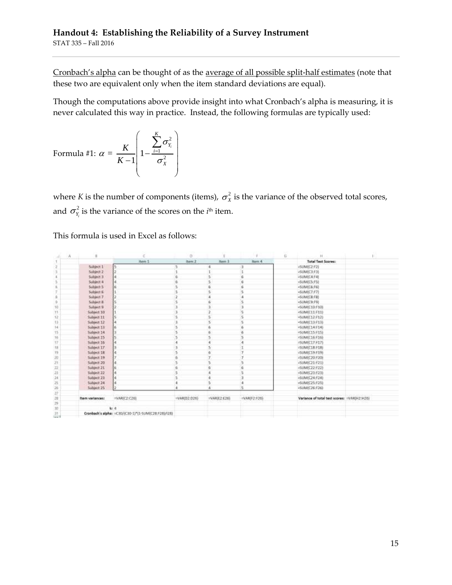## **Handout 4: Establishing the Reliability of a Survey Instrument** STAT 335 – Fall 2016

Cronbach's alpha can be thought of as the average of all possible split-half estimates (note that these two are equivalent only when the item standard deviations are equal).

Though the computations above provide insight into what Cronbach's alpha is measuring, it is never calculated this way in practice. Instead, the following formulas are typically used:

Formula #1: 
$$
\alpha = \frac{K}{K-1} \left( 1 - \frac{\sum_{i=1}^{K} \sigma_{Y_i}^2}{\sigma_X^2} \right)
$$

where K is the number of components (items),  $\sigma_x^2$  is the variance of the observed total scores, and  $\sigma_{\rm y}^2$  $\sigma_{Y_i}^2$  is the variance of the scores on the *i*<sup>th</sup> item.

This formula is used in Excel as follows:

| А<br>÷                   |                 |                                                       | D.              |                |              | ū |                                                  |  |
|--------------------------|-----------------|-------------------------------------------------------|-----------------|----------------|--------------|---|--------------------------------------------------|--|
| T                        |                 | Hem 1                                                 | item 2          | <b>Bern 3</b>  | Item 4       |   | <b>Total Test Scores:</b>                        |  |
| $\overline{\varepsilon}$ | Subject 1       |                                                       | э               |                | з            |   | <sum(c2:f2)< td=""><td></td></sum(c2:f2)<>       |  |
| з                        | Subject 2       |                                                       |                 |                |              |   | »SUM(C3:F3)                                      |  |
| x                        | Subject 3       |                                                       | ë               | 5              | õ            |   | -SUMIC4:F41                                      |  |
| 5                        | Subject 4       |                                                       | ä               | 5.             | 6            |   | ~5UM(C5:F5)                                      |  |
| ÷.                       | Subject 5       |                                                       |                 | 6              | б            |   | «SUM(C6;F6)                                      |  |
|                          | Subject 6       |                                                       | 5               |                | 5            |   | «SUMICZ:F7]                                      |  |
| Ð                        | Subject 7       |                                                       |                 |                |              |   | -SUM(CB:F8)                                      |  |
| 9.                       | Subject B.      |                                                       |                 |                |              |   | $-SU/M0C9:F9$                                    |  |
| 10                       | Subject 9       |                                                       |                 |                |              |   | <slim(c10:f10)< td=""><td></td></slim(c10:f10)<> |  |
| $^{\dagger}$             | Subject 10      |                                                       |                 |                |              |   | $-SUMC11711$                                     |  |
| 12                       | Subject 11      |                                                       |                 |                |              |   |                                                  |  |
| 13                       | Subject 12      |                                                       |                 |                |              |   | -SUM(C13:F13)                                    |  |
| 14                       | Subject 11      |                                                       |                 |                |              |   | $+5$ UNI(C14:F14)                                |  |
| 15                       | Subject 14      |                                                       |                 |                |              |   | v5UMX15:F15)                                     |  |
| 16                       | Subject 15      |                                                       |                 |                |              |   | =SUMIC16:516)                                    |  |
| 17                       | Sobject 16      |                                                       |                 |                |              |   | =SUM(C17:F17)                                    |  |
| 11                       | Subject 17      |                                                       |                 |                |              |   | =SUMIC18:F18)                                    |  |
| $\Box$                   | Subject 18      |                                                       |                 |                |              |   | =SUM(C19:F19)                                    |  |
| 20                       | Subject 19      |                                                       |                 |                |              |   | =5UM(C20:F20)                                    |  |
| 25                       | Subject 20      |                                                       | 5               |                |              |   | <sum(c21:f21)< td=""><td></td></sum(c21:f21)<>   |  |
| 22                       | Subject 21      |                                                       | i.              |                | 6            |   | -SUM(C22:F22)                                    |  |
| 23                       | Subject 22      |                                                       | 5               |                |              |   | -SUM(C23:F23)                                    |  |
| 24                       | Subject 23      |                                                       | 5               |                |              |   | +SUM/C24:F24)                                    |  |
| 苫                        | Subject 24      |                                                       | 4               | 5              |              |   | +SUM(C25:F25)                                    |  |
| 26                       | Subject 25      |                                                       |                 |                | 15           |   | -SUMIC26:F263                                    |  |
| $\mathbb{Z}^p_+$         |                 |                                                       |                 |                |              |   |                                                  |  |
| 28                       | Item variances: | =VARIC2:C201                                          | $=$ VAR(D2:D26) | $=$ VARIEZ:E26 | =VAR(F2:F20) |   | Variance of total test scores: :: VAR(H2:H26)    |  |
| 29                       |                 |                                                       |                 |                |              |   |                                                  |  |
| 33                       |                 | kr 4                                                  |                 |                |              |   |                                                  |  |
| 31                       |                 | Cronbech's alpha: = C30/(C30-1)*(1-SUM)(C2B:F28)/128) |                 |                |              |   |                                                  |  |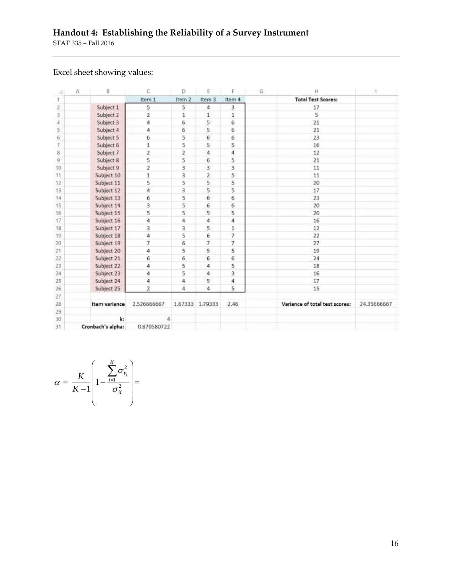# Excel sheet showing values:

|     | А | 8                 | Ċ                       | D              | E              |              | $\mathbb{G}$ | н                              |             |  |
|-----|---|-------------------|-------------------------|----------------|----------------|--------------|--------------|--------------------------------|-------------|--|
|     |   |                   | Item 1                  | Item 2         | Item 3         | Item 4       |              | <b>Total Test Scores:</b>      |             |  |
| г   |   | Subject 1         | 5                       | 5              | 4              | 3            |              | 17                             |             |  |
| 3   |   | Subject 2         | $\overline{\mathbf{2}}$ | 1              | $\mathbf{1}$   | $\mathbf{1}$ |              | 5                              |             |  |
| 4   |   | Subject 3         | 4                       | 6              | 5.             | 6            |              | 21                             |             |  |
| 5   |   | Subject 4         | 4                       | 6              | 5              | 6            |              | 21                             |             |  |
| 6   |   | Subject 5         | 6                       | 5              | 6              | 6            |              | 23                             |             |  |
| 7   |   | Subject 6         | 1                       | 5              | 5              | 5            |              | 16                             |             |  |
| 8   |   | Subject 7         | $\mathbf{2}$            | $\overline{2}$ | 4              | 4            |              | 12                             |             |  |
| 9   |   | Subject 8         | 5                       | 5              | 6              | 5            |              | 21                             |             |  |
| 10  |   | Subject 9         | $\dot{z}$               | 3              | 3              | 3            |              | 11                             |             |  |
| 11  |   | Subject 10        | $\mathbf{1}$            | 3              | $\overline{z}$ | 5            |              | 11                             |             |  |
| 12  |   | Subject 11        | 5                       | 5              | 5              | 5            |              | 20                             |             |  |
| 13  |   | Subject 12        | 4                       | з              | 5.             | 5            |              | 17                             |             |  |
| 14  |   | Subject 13        | 6                       | 5              | 6              | 6            |              | 23                             |             |  |
| 15  |   | Subject 14        | 3                       | 5              | 6              | 6            |              | 20                             |             |  |
| 16  |   | Subject 15        | 5                       | 5.             | 5              | 5            |              | 20                             |             |  |
| 17  |   | Subject 16        | 4                       | $\overline{4}$ | 4              | 4            |              | 16                             |             |  |
| 18  |   | Subject 17        | 3                       | 3              | 5              | 1            |              | 12                             |             |  |
| 19  |   | Subject 18        | ä                       | 5              | 6              | 7            |              | 22                             |             |  |
| 20  |   | Subject 19        | 7                       | 6              | $\tau$         | 7            |              | 27                             |             |  |
| 21  |   | Subject 20        | 4                       | 5              | 5              | 5            |              | 19                             |             |  |
| 22  |   | Subject 21        | 6                       | 6              | 6              | б            |              | 24                             |             |  |
| 23. |   | Subject 22        | 4                       | 5              | 4              | 5            |              | 18                             |             |  |
| 24  |   | Subject 23        | 4                       | 5              | 4              | 3            |              | 16                             |             |  |
| 25  |   | Subject 24        | 4                       | 4              | 5              | 4            |              | 17                             |             |  |
| 26  |   | Subject 25        | $\overline{\mathbf{z}}$ | 4              | 4              | 5            |              | 15                             |             |  |
| 27  |   |                   |                         |                |                |              |              |                                |             |  |
| 28  |   | Item variance     | 2.526666667             | 1.67333        | 1.79333        | 2.46         |              | Variance of total test scores: | 24.35666667 |  |
| 29  |   |                   |                         |                |                |              |              |                                |             |  |
| 30  |   | k:                | 4                       |                |                |              |              |                                |             |  |
| 31  |   | Cronbach's alpha: | 0.870580722             |                |                |              |              |                                |             |  |

$$
\alpha = \frac{K}{K-1} \left( 1 - \frac{\sum_{i=1}^{K} \sigma_{Y_i}^2}{\sigma_X^2} \right) =
$$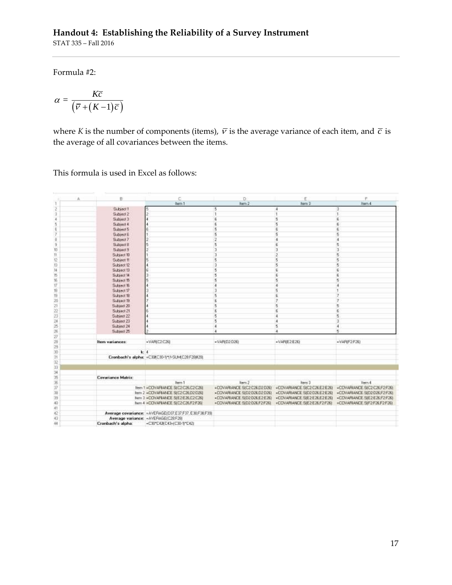Formula #2:

$$
\alpha = \frac{K\overline{c}}{\left(\overline{v} + (K-1)\overline{c}\right)}
$$

where *K* is the number of components (items),  $\bar{v}$  is the average variance of each item, and  $\bar{c}$  is the average of all covariances between the items.

This formula is used in Excel as follows:

| A                  | B                     | c                                                      | o                            | E                                                     | F.                           |
|--------------------|-----------------------|--------------------------------------------------------|------------------------------|-------------------------------------------------------|------------------------------|
|                    |                       | ltern 1                                                | ikern 2                      | <b>Renn 3</b>                                         | Item 4                       |
| $\ddot{2}$         | Subject 1             | 5                                                      | 5                            | ٠                                                     |                              |
| э                  | Subject 2             | $\ddot{z}$                                             |                              | h                                                     |                              |
| ï                  | Subject 3             |                                                        |                              | 5                                                     |                              |
| 5                  | Subinet 4             |                                                        |                              | 5                                                     |                              |
| $\bar{\mathbf{g}}$ | Subject 5             | 8                                                      | 5                            | $\overline{6}$                                        | $\boldsymbol{6}$             |
| 7                  | <b>Bubject 6</b>      |                                                        | Б                            | $\overline{5}$                                        | 5                            |
| ğ                  | Subject 7             |                                                        |                              | 4                                                     |                              |
| 9                  | <b>Subject 8</b>      | 5                                                      | 5                            | £.                                                    | ij                           |
| 10                 | <b>Subject 9</b>      |                                                        |                              | 3                                                     | э                            |
| fi.                | Subject 10            |                                                        |                              | $\overline{\mathbf{2}}$                               | 5                            |
| t2                 | Subject 11            | 5                                                      |                              | 5                                                     | 5                            |
| 13                 | Subject 12            | d                                                      |                              | $\overline{\mathbf{5}}$                               | 6                            |
| 14                 | Subject 13            | ġ                                                      |                              | É.                                                    | G                            |
| 15                 | Subject <sup>14</sup> | 3<br>5                                                 |                              | E.                                                    |                              |
| 18                 | Subject 15            |                                                        |                              | 5                                                     |                              |
| 17                 | Subject 16            | 4                                                      |                              | ă                                                     |                              |
| 16                 | Subject 17            |                                                        |                              | 5                                                     |                              |
| 79                 | Subject 18            |                                                        |                              |                                                       |                              |
| 30                 | Subject 19            |                                                        |                              |                                                       |                              |
| 21                 | Subject 20            |                                                        |                              | 5                                                     | <b>r</b>                     |
| ä                  | Subject 21            |                                                        |                              | $\mathbf{f}$                                          |                              |
| 23                 | Subject 22            |                                                        |                              |                                                       | 5                            |
| 24                 | Subject 23            |                                                        |                              | a                                                     | $\mathfrak{A}$               |
| z                  | Subject 24            |                                                        |                              | 6                                                     | 4                            |
| 26                 | Subject 25            |                                                        |                              |                                                       | e,                           |
| ŹŸ                 |                       |                                                        |                              |                                                       |                              |
| 29                 | <b>Hem variances:</b> | $-VARTC2C26$                                           | $-VAPID2D26$                 | $-VAF(E2E2E)$                                         | «VARIF2F26)                  |
| 29                 |                       |                                                        |                              |                                                       |                              |
| Ħ                  | k:4                   |                                                        |                              |                                                       |                              |
| 31                 |                       | Cronbach's alpha: = C30(C30-1):1-SUM(C20F2882例         |                              |                                                       |                              |
| Q                  |                       |                                                        |                              |                                                       |                              |
| 33                 |                       |                                                        |                              |                                                       |                              |
| 34                 |                       |                                                        |                              |                                                       |                              |
| ß                  | Covariance Matrix     |                                                        |                              |                                                       |                              |
| 36                 |                       | liven 1                                                | item 2                       | hem 3                                                 | Item 4                       |
| Ïř                 |                       | Item 1 +DOVAPIANDE SIC2/D26/C2C261                     | «DOVARANCE S(C2C26.D2D26)    | »COVARIANCE S(C2C26 E2E26)                            | «COVARIANCE SIC2C26F2F26)    |
| 38                 |                       | hem 2 -COVAFIANCE S/E2 C26 D2 D26                      |                              | «COVARIANCE S(D2D26D2D26) -COVARIANCE S(D2D26E2E26)   | +COVARIANCE SID2 D26 F2 F251 |
| 39                 |                       | Nem 3 -COVARIANDE SIE2E26 E2C26)                       |                              | -COVARIANCE SID2D26 E2E26) -COVARIANCE SIE2E26 E2E26) | «COVAPIANCE SIE2E26F2F26)    |
| 40                 |                       | hem 4 =COVARIANCE S(C2C26,F2F26)                       | +COVARIANCE SID2 D26 F2 F261 | «COVARIANCE SIE2E26,F2F26)                            | «COVARIANCE SIF2F26F2F26)    |
| 41                 |                       |                                                        |                              |                                                       |                              |
| 42                 |                       | Average covariance: = AVERAGE(D37,E37.F37,E38.F38.F39) |                              |                                                       |                              |
| 43                 |                       | Average variance: «AVERAGE(C28F28)                     |                              |                                                       |                              |
| 44                 | Cronbach's alpha:     | =C30°C42(C43+(C30-1)°C42)                              |                              |                                                       |                              |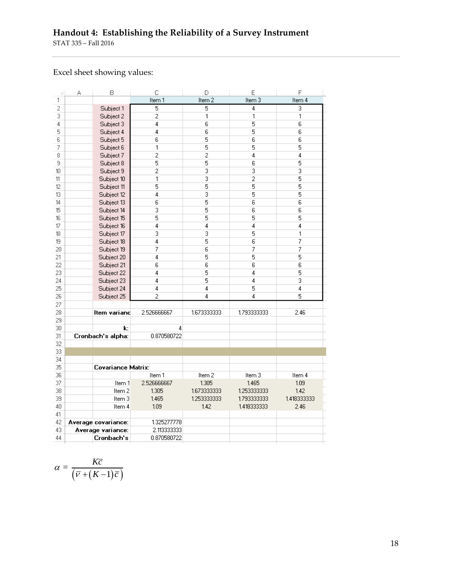## **Handout 4: Establishing the Reliability of a Survey Instrument** STAT 335 – Fall 2016

# Excel sheet showing values:

| Item 1<br>Item 2<br>Item 3<br>1<br>$\overline{c}$<br>5<br>5<br>4<br>Subject 1<br>$\overline{2}$<br>3<br>1<br>1<br>Subject 2<br>5<br>4<br>6<br>4<br>Subject 3<br>5<br>$\overline{4}$<br>6<br>5<br>Subject 4<br>5<br>6<br>6<br>6<br>Subject 5<br>5<br>7<br>1<br>5<br>Subject 6<br>$\overline{c}$<br>$\overline{c}$<br>$\overline{4}$<br>8<br>Subject 7<br>5<br>9<br>5<br>6<br>Subject 8<br>3<br>$\overline{c}$<br>3<br>10<br>Subject 9<br>3<br>$\overline{2}$<br>11<br>1<br>Subject 10<br>5<br>5<br>12<br>5<br>Subject 11<br>3<br>13<br>$\overline{4}$<br>5<br>Subject 12<br>$\overline{6}$<br>5<br>14<br>6<br>Subject 13<br>5<br>15<br>3<br>6<br>Subject 14<br>5<br>5<br>5<br>16<br>Subject 15<br>4<br>17<br>$\overline{4}$<br>4<br>Subject 16<br>3<br>3<br>5<br>18<br>Subject 17<br>5<br>$\overline{4}$<br>6<br>19<br>Subject 18<br>7<br>6<br>7<br>20<br>Subject 19<br>5<br>5<br>21<br>Subject 20<br>4 | Item 4         |
|--------------------------------------------------------------------------------------------------------------------------------------------------------------------------------------------------------------------------------------------------------------------------------------------------------------------------------------------------------------------------------------------------------------------------------------------------------------------------------------------------------------------------------------------------------------------------------------------------------------------------------------------------------------------------------------------------------------------------------------------------------------------------------------------------------------------------------------------------------------------------------------------------------|----------------|
|                                                                                                                                                                                                                                                                                                                                                                                                                                                                                                                                                                                                                                                                                                                                                                                                                                                                                                        |                |
|                                                                                                                                                                                                                                                                                                                                                                                                                                                                                                                                                                                                                                                                                                                                                                                                                                                                                                        | 3              |
|                                                                                                                                                                                                                                                                                                                                                                                                                                                                                                                                                                                                                                                                                                                                                                                                                                                                                                        | 1              |
|                                                                                                                                                                                                                                                                                                                                                                                                                                                                                                                                                                                                                                                                                                                                                                                                                                                                                                        | 6              |
|                                                                                                                                                                                                                                                                                                                                                                                                                                                                                                                                                                                                                                                                                                                                                                                                                                                                                                        | 6              |
|                                                                                                                                                                                                                                                                                                                                                                                                                                                                                                                                                                                                                                                                                                                                                                                                                                                                                                        | 6              |
|                                                                                                                                                                                                                                                                                                                                                                                                                                                                                                                                                                                                                                                                                                                                                                                                                                                                                                        | 5              |
|                                                                                                                                                                                                                                                                                                                                                                                                                                                                                                                                                                                                                                                                                                                                                                                                                                                                                                        | 4              |
|                                                                                                                                                                                                                                                                                                                                                                                                                                                                                                                                                                                                                                                                                                                                                                                                                                                                                                        | 5              |
|                                                                                                                                                                                                                                                                                                                                                                                                                                                                                                                                                                                                                                                                                                                                                                                                                                                                                                        | 3              |
|                                                                                                                                                                                                                                                                                                                                                                                                                                                                                                                                                                                                                                                                                                                                                                                                                                                                                                        | 5              |
|                                                                                                                                                                                                                                                                                                                                                                                                                                                                                                                                                                                                                                                                                                                                                                                                                                                                                                        | 5              |
|                                                                                                                                                                                                                                                                                                                                                                                                                                                                                                                                                                                                                                                                                                                                                                                                                                                                                                        | 5              |
|                                                                                                                                                                                                                                                                                                                                                                                                                                                                                                                                                                                                                                                                                                                                                                                                                                                                                                        | $\overline{6}$ |
|                                                                                                                                                                                                                                                                                                                                                                                                                                                                                                                                                                                                                                                                                                                                                                                                                                                                                                        | 6              |
|                                                                                                                                                                                                                                                                                                                                                                                                                                                                                                                                                                                                                                                                                                                                                                                                                                                                                                        | 5              |
|                                                                                                                                                                                                                                                                                                                                                                                                                                                                                                                                                                                                                                                                                                                                                                                                                                                                                                        | 4              |
|                                                                                                                                                                                                                                                                                                                                                                                                                                                                                                                                                                                                                                                                                                                                                                                                                                                                                                        | 1              |
|                                                                                                                                                                                                                                                                                                                                                                                                                                                                                                                                                                                                                                                                                                                                                                                                                                                                                                        | 7              |
|                                                                                                                                                                                                                                                                                                                                                                                                                                                                                                                                                                                                                                                                                                                                                                                                                                                                                                        | 7              |
|                                                                                                                                                                                                                                                                                                                                                                                                                                                                                                                                                                                                                                                                                                                                                                                                                                                                                                        | 5              |
| $\overline{6}$<br>22<br>6<br>6<br>Subject 21                                                                                                                                                                                                                                                                                                                                                                                                                                                                                                                                                                                                                                                                                                                                                                                                                                                           | $\overline{6}$ |
| 5<br>23<br>$\overline{4}$<br>4<br>Subject 22                                                                                                                                                                                                                                                                                                                                                                                                                                                                                                                                                                                                                                                                                                                                                                                                                                                           | 5              |
| 5<br>24<br>4<br>4<br>Subject 23                                                                                                                                                                                                                                                                                                                                                                                                                                                                                                                                                                                                                                                                                                                                                                                                                                                                        | 3              |
| 5<br>25<br>4<br>4<br>Subject 24                                                                                                                                                                                                                                                                                                                                                                                                                                                                                                                                                                                                                                                                                                                                                                                                                                                                        | 4              |
| $\overline{c}$<br>26<br>4<br>4<br>Subject 25                                                                                                                                                                                                                                                                                                                                                                                                                                                                                                                                                                                                                                                                                                                                                                                                                                                           | 5              |
| 27                                                                                                                                                                                                                                                                                                                                                                                                                                                                                                                                                                                                                                                                                                                                                                                                                                                                                                     |                |
| 28<br>2.526666667<br>1.673333333<br>1.793333333<br>Item variand                                                                                                                                                                                                                                                                                                                                                                                                                                                                                                                                                                                                                                                                                                                                                                                                                                        | 2.46           |
| 29                                                                                                                                                                                                                                                                                                                                                                                                                                                                                                                                                                                                                                                                                                                                                                                                                                                                                                     |                |
| 30<br>4<br>k:                                                                                                                                                                                                                                                                                                                                                                                                                                                                                                                                                                                                                                                                                                                                                                                                                                                                                          |                |
| 31<br>Cronbach's alpha:<br>0.870580722                                                                                                                                                                                                                                                                                                                                                                                                                                                                                                                                                                                                                                                                                                                                                                                                                                                                 |                |
| 32                                                                                                                                                                                                                                                                                                                                                                                                                                                                                                                                                                                                                                                                                                                                                                                                                                                                                                     |                |
| 33                                                                                                                                                                                                                                                                                                                                                                                                                                                                                                                                                                                                                                                                                                                                                                                                                                                                                                     |                |
| 34                                                                                                                                                                                                                                                                                                                                                                                                                                                                                                                                                                                                                                                                                                                                                                                                                                                                                                     |                |
| 35<br>Covariance Matrix:                                                                                                                                                                                                                                                                                                                                                                                                                                                                                                                                                                                                                                                                                                                                                                                                                                                                               |                |
| 36<br>Item 1<br>Item 2<br>Item 3                                                                                                                                                                                                                                                                                                                                                                                                                                                                                                                                                                                                                                                                                                                                                                                                                                                                       | Item 4         |
| 2.526666667<br>1.305<br>1.465<br>37<br>Item 1                                                                                                                                                                                                                                                                                                                                                                                                                                                                                                                                                                                                                                                                                                                                                                                                                                                          | 1.09           |
| 38<br>Item 2<br>1.305<br>1.673333333<br>1.253333333                                                                                                                                                                                                                                                                                                                                                                                                                                                                                                                                                                                                                                                                                                                                                                                                                                                    | 1.42           |
| 39<br>1.465<br>1.253333333<br>Item 3<br>1.793333333                                                                                                                                                                                                                                                                                                                                                                                                                                                                                                                                                                                                                                                                                                                                                                                                                                                    | 1.418333333    |
| 40<br>Item 4<br>1.09<br>1.42<br>1,418333333                                                                                                                                                                                                                                                                                                                                                                                                                                                                                                                                                                                                                                                                                                                                                                                                                                                            | 2.46           |
| 41                                                                                                                                                                                                                                                                                                                                                                                                                                                                                                                                                                                                                                                                                                                                                                                                                                                                                                     |                |
| 42<br>1.325277778<br>Average covariance:                                                                                                                                                                                                                                                                                                                                                                                                                                                                                                                                                                                                                                                                                                                                                                                                                                                               |                |
| 43<br>2.113333333<br>Average variance:                                                                                                                                                                                                                                                                                                                                                                                                                                                                                                                                                                                                                                                                                                                                                                                                                                                                 |                |
| 44<br>Cronbach's<br>0.870580722                                                                                                                                                                                                                                                                                                                                                                                                                                                                                                                                                                                                                                                                                                                                                                                                                                                                        |                |

$$
\alpha = \frac{K\overline{c}}{\left(\overline{v} + (K-1)\overline{c}\right)}
$$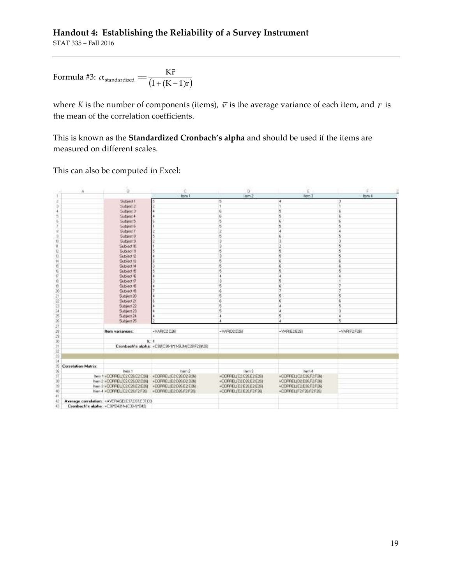# **Handout 4: Establishing the Reliability of a Survey Instrument**

STAT 335 – Fall 2016

Formula #3: 
$$
\alpha_{standardized} = \frac{K\bar{r}}{(1 + (K - 1)\bar{r})}
$$

where *K* is the number of components (items),  $\bar{v}$  is the average variance of each item, and  $\bar{r}$  is the mean of the correlation coefficients.

This is known as the **Standardized Cronbach's alpha** and should be used if the items are measured on different scales.

This can also be computed in Excel:

|                          | A                   | B                                            | C                                               | D                       | E                     | $\pm$         |  |
|--------------------------|---------------------|----------------------------------------------|-------------------------------------------------|-------------------------|-----------------------|---------------|--|
|                          |                     |                                              | Item 1                                          | Item 2                  | hern 3                | <b>Item 4</b> |  |
| z                        |                     | Subject 1                                    | I5                                              | 5                       |                       | з             |  |
| $+50$                    |                     | Subject 2                                    |                                                 |                         |                       | n             |  |
|                          |                     | Subject 3                                    |                                                 | 6                       | 畦                     | £             |  |
| 5                        |                     | Subject 4                                    |                                                 | ś                       | 5                     | E             |  |
| Ġ                        |                     | Subject 5                                    |                                                 | 5                       | 6                     | $\mathsf{6}$  |  |
| T                        |                     | Subject 6                                    |                                                 | 5                       | ŋ                     | 5             |  |
|                          |                     | Subject 7                                    |                                                 |                         |                       | Ł             |  |
| 10 R                     |                     | Subject B                                    |                                                 | $\frac{2}{5}$           |                       | 8             |  |
| $\mathcal{U}$            |                     | Subject 9                                    |                                                 | з                       |                       | 3             |  |
| Ĥ,                       |                     | Subject 10                                   |                                                 |                         |                       |               |  |
| t                        |                     | Subject II                                   |                                                 | ×                       |                       |               |  |
| 11                       |                     | Subject 12                                   |                                                 |                         |                       |               |  |
| 14                       |                     | Subject 13                                   |                                                 |                         |                       |               |  |
| 15                       |                     | Subject 14                                   |                                                 |                         |                       |               |  |
| Y.                       |                     | Subject 15                                   |                                                 |                         |                       |               |  |
| $\tilde{W}$              |                     | Subject <sup>®</sup>                         |                                                 |                         |                       |               |  |
| ü                        |                     | Subject 17                                   |                                                 |                         |                       |               |  |
| 恃                        |                     | Subject 19                                   |                                                 | $\leq$                  |                       |               |  |
| $\overline{\mathbf{20}}$ |                     | Subject 19                                   |                                                 |                         |                       |               |  |
| 21                       |                     | Subject 20                                   |                                                 | 5                       |                       | 5             |  |
| žź                       |                     | Subject 21                                   |                                                 |                         |                       |               |  |
| 23                       |                     | Subject 22                                   |                                                 |                         |                       | 5             |  |
| 24                       |                     | Subject 23                                   |                                                 |                         |                       | 3             |  |
| $2\mathrm{S}$            |                     | Subject 24                                   |                                                 | 4                       | 5                     | 4             |  |
| x                        |                     | Subject 25                                   |                                                 |                         |                       | 5             |  |
| 27                       |                     |                                              |                                                 |                         |                       |               |  |
|                          |                     | Item variances:                              | $-VAFIC2C261$                                   | $-VAP1D2D26$            | $-VAPEE2E261$         | +VAR(F2F26)   |  |
| 28<br>28                 |                     |                                              |                                                 |                         |                       |               |  |
| 30                       |                     | $k - 4$                                      |                                                 |                         |                       |               |  |
| $\overline{31}$          |                     |                                              | Cronbach's alpha: «C30(C30-111-SUM(C28/F29)(28) |                         |                       |               |  |
| $\overline{\mathbf{22}}$ |                     |                                              |                                                 |                         |                       |               |  |
| m                        |                     |                                              |                                                 |                         |                       |               |  |
| $_{34}$                  |                     |                                              |                                                 |                         |                       |               |  |
| ä                        | Correlation Matrix: |                                              |                                                 |                         |                       |               |  |
| 36                       |                     | Item 1                                       | llem <sub>2</sub>                               | Item 3                  | hem 4                 |               |  |
| 37                       |                     | Item 1 = CORPEL/C2 C26 C2:C261               | -COFFIELIC2:C26.D2:D261                         | *COFFELIC2C26E2E26      | *COFFIELIC2C26F2F263  |               |  |
|                          |                     | Item 2 =CORPELIC2C26.D2:D26                  | +COFFIEL(D2:D26.D2:D26)                         | +COFFIELID2-D26.E2/E261 | +COFFELID2D26F2F26    |               |  |
| 18<br>18                 |                     | Item 3 =CORFELIC2 C26.E2:E261                | *COPPELID2C06E2E26I                             | *CORFELIE2E26.E2E261    | *COFFIELIE2E26.F2F261 |               |  |
| 40                       |                     | Item 4 = CORPELIC2 C26 F2 F261               | =COFFE1ID2C06F2F261                             | +CORFELIE2E26.F2F261    | »DOFFELIF2F26F2F263   |               |  |
| ¥1                       |                     |                                              |                                                 |                         |                       |               |  |
| 42                       |                     | Average correlation: «AVERAGEIC37,037,E37.03 |                                                 |                         |                       |               |  |
| 砡                        |                     | Creribach's alpha: = C30*B42(1+(C30-1)*B42)  |                                                 |                         |                       |               |  |
|                          |                     |                                              |                                                 |                         |                       |               |  |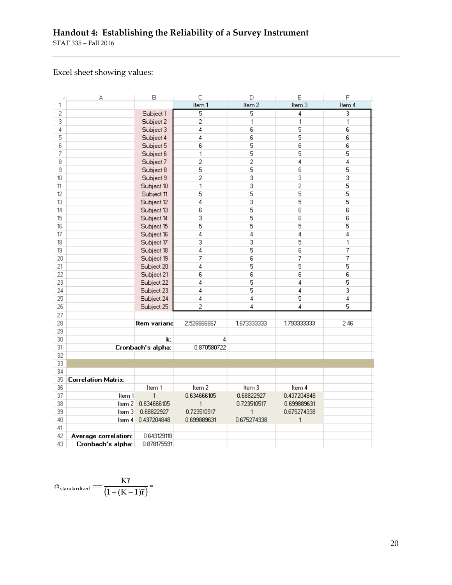# **Handout 4: Establishing the Reliability of a Survey Instrument**

STAT 335 – Fall 2016

# Excel sheet showing values:

| d  | А                    | B                 | C              | D              | Ε              | F      |
|----|----------------------|-------------------|----------------|----------------|----------------|--------|
| 1  |                      |                   | Item 1         | Item 2         | Item 3         | Item 4 |
| 2  |                      | Subject 1         | 5              | 5              | 4              | 3      |
| 3  |                      | Subject 2         | 2              | 1              | 1              | 1      |
| 4  |                      | Subject 3         | 4              | 6              | 5              | 6      |
| 5  |                      | Subject 4         | 4              | 6              | 5              | 6      |
| 6  |                      | Subject 5         | 6              | 5              | 6              | 6      |
| 7  |                      | Subject 6         | 1              | 5              | 5              | 5      |
| 8  |                      | Subject 7         | $\overline{c}$ | $\overline{c}$ | 4              | 4      |
| 9  |                      | Subject 8         | 5              | 5              | 6              | 5      |
| 10 |                      | Subject 9         | $\overline{c}$ | 3              | 3              | 3      |
| 11 |                      | Subject 10        | 1              | 3              | $\overline{c}$ | 5      |
| 12 |                      | Subject 11        | 5              | 5              | 5              | 5      |
| 13 |                      | Subject 12        | 4              | 3              | 5              | 5      |
| 14 |                      | Subject 13        | 6              | 5              | 6              | 6      |
| 15 |                      | Subject 14        | 3              | 5              | 6              | 6      |
| 16 |                      | Subject 15        | 5              | 5              | 5              | 5      |
| 17 |                      | Subject 16        | 4              | 4              | 4              | 4      |
| 18 |                      | Subject 17        | 3              | 3              | 5              | 1      |
| 19 |                      | Subject 18        | 4              | 5              | 6              | 7      |
| 20 |                      | Subject 19        | 7              | 6              | 7              | 7      |
| 21 |                      | Subject 20        | 4              | 5              | 5              | 5      |
| 22 |                      | Subject 21        | 6              | 6              | 6              | 6      |
| 23 |                      | Subject 22        | 4              | 5              | 4              | 5      |
| 24 |                      | Subject 23        | 4              | 5              | 4              | 3      |
| 25 |                      | Subject 24        | 4              | 4              | 5              | 4      |
| 26 |                      | Subject 25        | $\overline{c}$ | 4              | 4              | 5      |
| 27 |                      |                   |                |                |                |        |
| 28 |                      | Item variand      | 2.526666667    | 1.673333333    | 1.793333333    | 2.46   |
| 29 |                      |                   |                |                |                |        |
| 30 |                      | $\mathbf{k}$ :    | 4              |                |                |        |
| 31 |                      | Cronbach's alpha: | 0.870580722    |                |                |        |
| 32 |                      |                   |                |                |                |        |
| 33 |                      |                   |                |                |                |        |
| 34 |                      |                   |                |                |                |        |
| 35 | Correlation Matrix:  |                   |                |                |                |        |
| 36 |                      | Item 1            | Item 2         | Item 3         | Item 4         |        |
| 37 | Item 1               | $\mathbf{1}$      | 0.634666105    | 0.68822927     | 0.437204848    |        |
| 38 | Item 2               | 0.634666105       | 1              | 0.723510517    | 0.699889631    |        |
| 39 | Item 3               | 0.68822927        | 0.723510517    | 1              | 0.675274338    |        |
| 40 | Item 4               | 0.437204848       | 0.699889631    | 0.675274338    | 1              |        |
| 41 |                      |                   |                |                |                |        |
| 42 | Average correlation: | 0.643129118       |                |                |                |        |
| 43 | Cronbach's alpha:    | 0.878175591       |                |                |                |        |

$$
\alpha_{\textrm{standardized}} = \frac{K\bar{r}}{(1+(K-1)\bar{r})} =
$$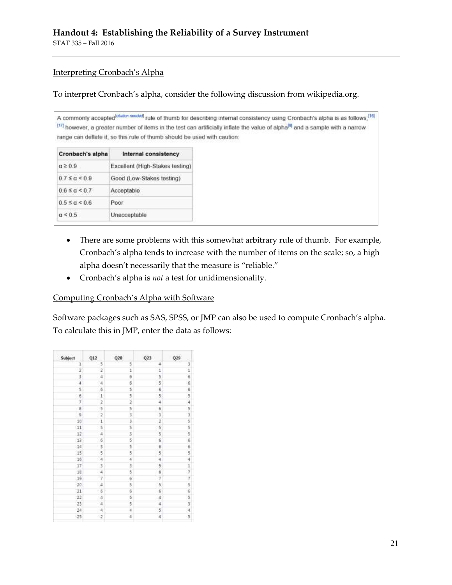STAT 335 – Fall 2016

## Interpreting Cronbach's Alpha

To interpret Cronbach's alpha, consider the following discussion from wikipedia.org.

|                            | range can deflate it, so this rule of thumb should be used with caution: | A commonly accepted <sup>[couton reeded]</sup> rule of thumb for describing internal consistency using Cronbach's alpha is as follows. <sup>[16]</sup><br>[17] however, a greater number of items in the test can artificially inflate the value of alpha <sup>[8]</sup> and a sample with a narrow |
|----------------------------|--------------------------------------------------------------------------|-----------------------------------------------------------------------------------------------------------------------------------------------------------------------------------------------------------------------------------------------------------------------------------------------------|
| Cronbach's alpha           | Internal consistency                                                     |                                                                                                                                                                                                                                                                                                     |
| $a \geq 0.9$               | Excellent (High-Stakes testing)                                          |                                                                                                                                                                                                                                                                                                     |
| $0.7 \leq \alpha \leq 0.9$ | Good (Low-Stakes testing)                                                |                                                                                                                                                                                                                                                                                                     |
| $0.6 \le a \le 0.7$        | Acceptable                                                               |                                                                                                                                                                                                                                                                                                     |
| $0.5 \le a \le 0.6$        | Poor                                                                     |                                                                                                                                                                                                                                                                                                     |
| $\alpha \leq 0.5$          | Unacceptable                                                             |                                                                                                                                                                                                                                                                                                     |

- There are some problems with this somewhat arbitrary rule of thumb. For example, Cronbach's alpha tends to increase with the number of items on the scale; so, a high alpha doesn't necessarily that the measure is "reliable."
- Cronbach's alpha is *not* a test for unidimensionality.

### Computing Cronbach's Alpha with Software

Software packages such as SAS, SPSS, or JMP can also be used to compute Cronbach's alpha. To calculate this in JMP, enter the data as follows:

| Subject                                         | Q12            | Q20                  | Q23             | Q29                       |
|-------------------------------------------------|----------------|----------------------|-----------------|---------------------------|
| 1                                               | 5              | 5                    | 4               |                           |
|                                                 | 2              | î                    |                 | 3166954535556654177565345 |
| $\begin{array}{c} 2 \\ 3 \\ 4 \\ 5 \end{array}$ | 4              | 6<br>6               | $\frac{1}{5}$   |                           |
|                                                 | $\overline{4}$ |                      |                 |                           |
|                                                 | é              | ś                    | 6               |                           |
|                                                 | $\,$ $\,$      |                      |                 |                           |
|                                                 |                |                      |                 |                           |
|                                                 | 12.30          |                      |                 |                           |
| 67890                                           |                |                      | ha be on the us |                           |
|                                                 | $\overline{1}$ | or or or or or       |                 |                           |
| $\overline{11}$                                 | 5              |                      | 5               |                           |
| 12                                              | 4              | 3                    | 5               |                           |
| 13                                              | $\frac{6}{3}$  | 5499                 | 6               |                           |
| $\overline{14}$                                 |                |                      | 6               |                           |
| 15<br>16                                        | 54             |                      | 5               |                           |
|                                                 |                |                      | 4               |                           |
|                                                 | 3              |                      |                 |                           |
| $\frac{17}{18}$                                 | $\frac{1}{2}$  | <b>OF YOU OF YOU</b> | 5/6             |                           |
| 19                                              | $\overline{?}$ |                      |                 |                           |
| 20                                              | $\overline{4}$ |                      | 5               |                           |
| $_{21}$                                         | 6              |                      |                 |                           |
| 22                                              | 4              | 544                  | あいの あ あ の       |                           |
| 23                                              | 4              |                      |                 |                           |
| $^{24}$                                         | 4              |                      |                 |                           |
| 25                                              | 2              |                      |                 |                           |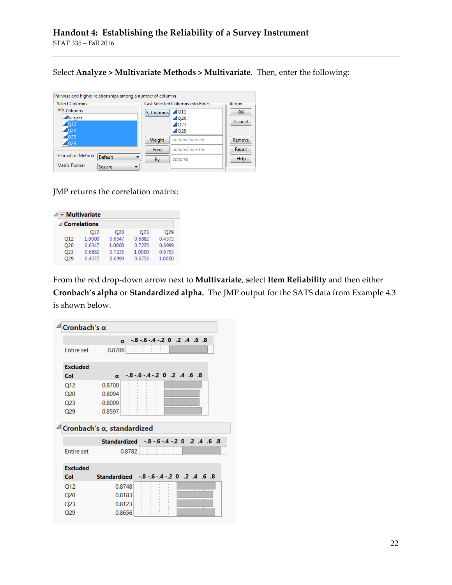Select **Analyze > Multivariate Methods > Multivariate**. Then, enter the following:

| Pairwise and higher relationships among a number of columns |                 |                                         |             |
|-------------------------------------------------------------|-----------------|-----------------------------------------|-------------|
| -Select Columns                                             |                 | <b>Cast Selected Columns into Roles</b> | Action      |
| ■5 Columns                                                  | Y, Columns 2Q12 |                                         | OK          |
| Subject                                                     |                 | $\triangle$ Q20                         | Cancel      |
| $\sqrt{Q12}$                                                |                 | $\triangle$ Q23                         |             |
| $\triangle$ Q20                                             |                 | $\triangle$ Q29                         |             |
| $\sqrt{Q}$<br>Q29                                           | Weight          | optional numeric                        | Remove      |
|                                                             | Freq            | optional numeric                        | Recall      |
| <b>Estimation Method</b><br>Default                         | By              | optional                                | <b>Help</b> |
| Matrix Format<br>Square                                     |                 |                                         |             |

JMP returns the correlation matrix:

| $\triangleleft$ $\triangledown$ Multivariate |        |                 |        |        |
|----------------------------------------------|--------|-----------------|--------|--------|
| $\triangle$ Correlations                     |        |                 |        |        |
|                                              | 012    | O <sub>20</sub> | O23    | O29    |
| O <sub>12</sub>                              | 1.0000 | 0.6347          | 0.6882 | 0.4372 |
| O <sub>20</sub>                              | 0.6347 | 1.0000          | 0.7235 | 0.6999 |
| O <sub>23</sub>                              | 0.6882 | 0.7235          | 1.0000 | 0.6753 |
| O <sub>29</sub>                              | 0.4372 | 0.6999          | 0.6753 | 1.0000 |

From the red drop-down arrow next to **Multivariate**, select **Item Reliability** and then either **Cronbach's alpha** or **Standardized alpha.** The JMP output for the SATS data from Example 4.3 is shown below.

| Cronbach's $\alpha$ |                                                       |
|---------------------|-------------------------------------------------------|
|                     | $-0.8 - 0.4 - 0.2$ 0 .2 .4 .6 .8<br>$\alpha$          |
| <b>Entire set</b>   | 0.8706                                                |
| <b>Excluded</b>     |                                                       |
| Col                 | $-8$ $-6$ $-4$ $-2$ 0 $-2$ $-4$ $-6$ $-8$<br>$\alpha$ |
| Q12                 | 0.8700                                                |
| Q <sub>20</sub>     | 0.8094                                                |
| Q <sub>23</sub>     | 0.8009                                                |
| Q29                 | 0.8597                                                |
|                     |                                                       |
|                     | Cronbach's $\alpha$ , standardized                    |
|                     | 8. 6. 4. 2. 0 2. - 16 - 16 - 16 - 17 - 18             |
| <b>Entire set</b>   | 0.8782                                                |
| <b>Excluded</b>     |                                                       |
| Col                 | $-0.8 - 0.6 - 0.4 - 0.2$ . 4 . 6 . 8<br>Standardized  |
| O <sub>12</sub>     | 0.8748                                                |
| Q <sub>20</sub>     | 0.8183                                                |
| Q <sub>23</sub>     | 0.8123                                                |